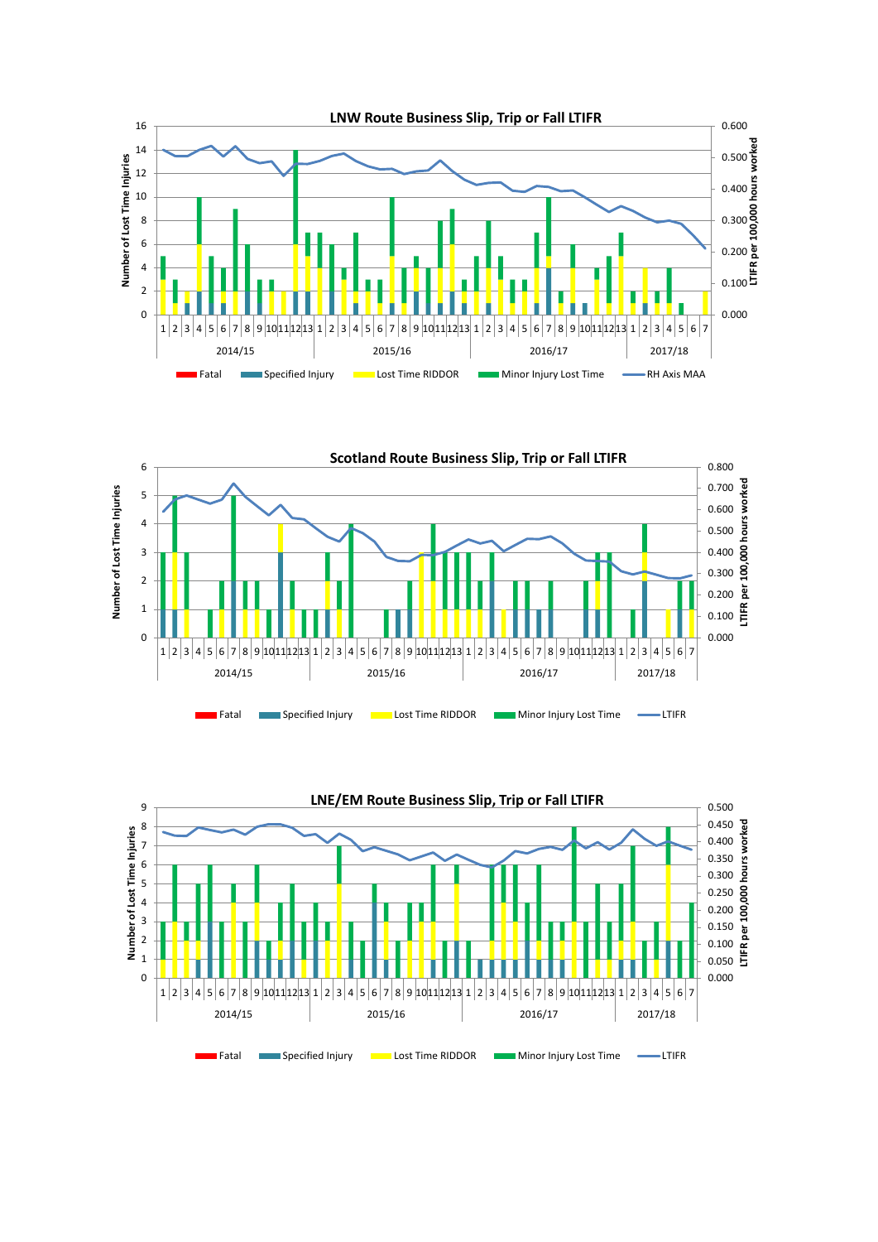



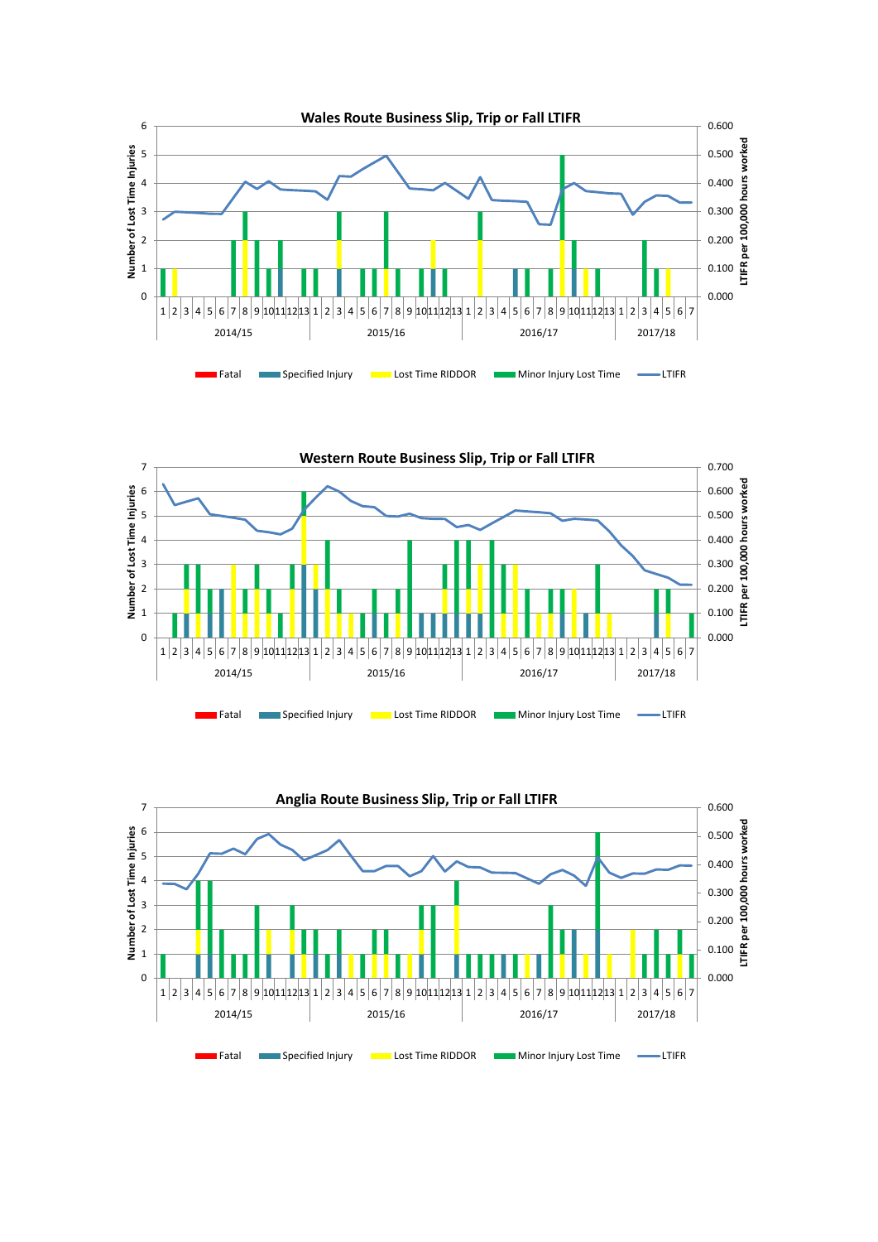



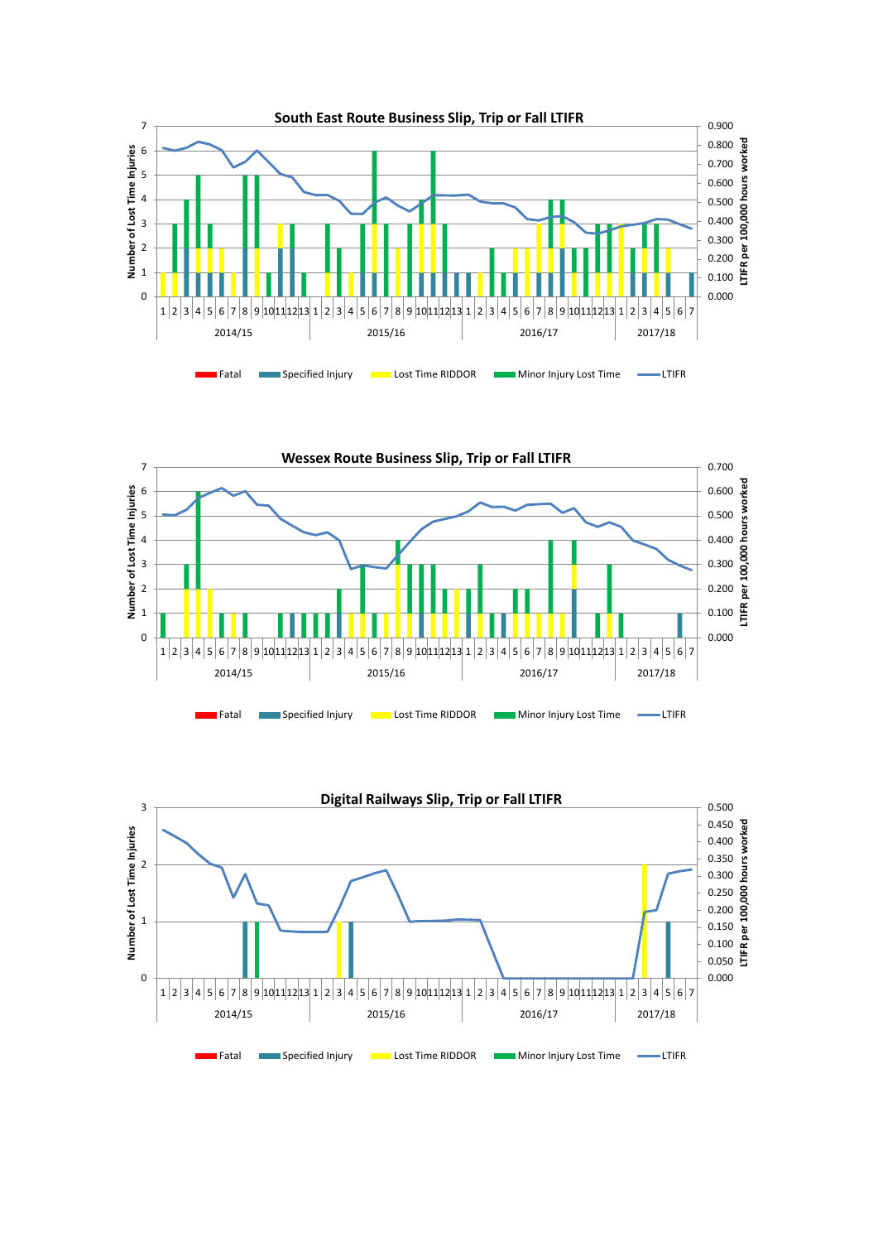